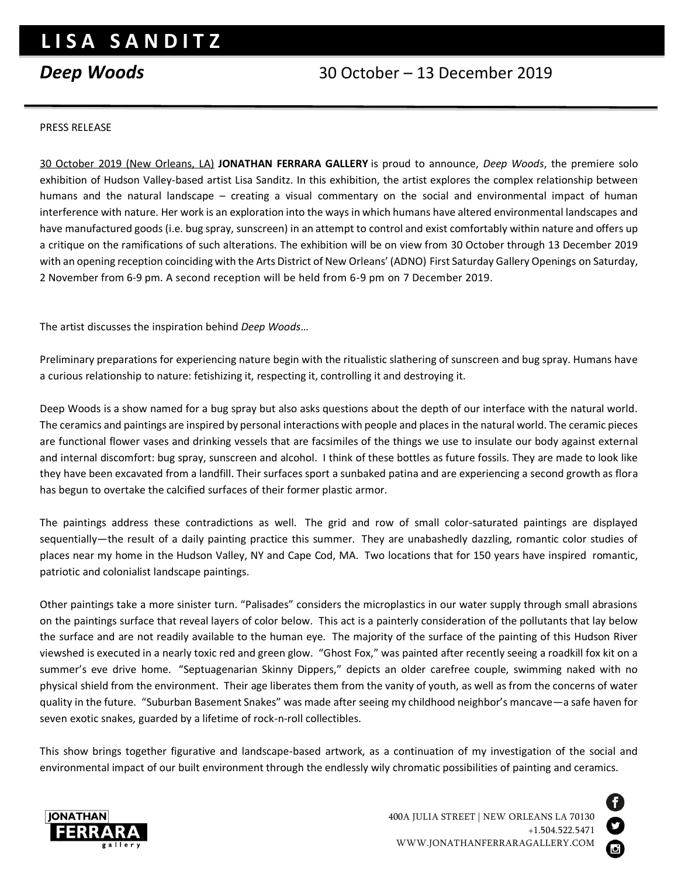## **L I S A S A N D I T Z**

## *Deep Woods* 30 October – 13 December 2019

## PRESS RELEASE

30 October 2019 (New Orleans, LA) **JONATHAN FERRARA GALLERY** is proud to announce, *Deep Woods*, the premiere solo exhibition of Hudson Valley-based artist Lisa Sanditz. In this exhibition, the artist explores the complex relationship between humans and the natural landscape – creating a visual commentary on the social and environmental impact of human interference with nature. Her work is an exploration into the ways in which humans have altered environmental landscapes and have manufactured goods (i.e. bug spray, sunscreen) in an attempt to control and exist comfortably within nature and offers up a critique on the ramifications of such alterations. The exhibition will be on view from 30 October through 13 December 2019 with an opening reception coinciding with the Arts District of New Orleans' (ADNO) First Saturday Gallery Openings on Saturday, 2 November from 6-9 pm. A second reception will be held from 6-9 pm on 7 December 2019.

The artist discusses the inspiration behind *Deep Woods*…

Preliminary preparations for experiencing nature begin with the ritualistic slathering of sunscreen and bug spray. Humans have a curious relationship to nature: fetishizing it, respecting it, controlling it and destroying it.

Deep Woods is a show named for a bug spray but also asks questions about the depth of our interface with the natural world. The ceramics and paintings are inspired by personal interactions with people and places in the natural world. The ceramic pieces are functional flower vases and drinking vessels that are facsimiles of the things we use to insulate our body against external and internal discomfort: bug spray, sunscreen and alcohol. I think of these bottles as future fossils. They are made to look like they have been excavated from a landfill. Their surfaces sport a sunbaked patina and are experiencing a second growth as flora has begun to overtake the calcified surfaces of their former plastic armor.

The paintings address these contradictions as well. The grid and row of small color-saturated paintings are displayed sequentially—the result of a daily painting practice this summer. They are unabashedly dazzling, romantic color studies of places near my home in the Hudson Valley, NY and Cape Cod, MA. Two locations that for 150 years have inspired romantic, patriotic and colonialist landscape paintings.

Other paintings take a more sinister turn. "Palisades" considers the microplastics in our water supply through small abrasions on the paintings surface that reveal layers of color below. This act is a painterly consideration of the pollutants that lay below the surface and are not readily available to the human eye. The majority of the surface of the painting of this Hudson River viewshed is executed in a nearly toxic red and green glow. "Ghost Fox," was painted after recently seeing a roadkill fox kit on a summer's eve drive home. "Septuagenarian Skinny Dippers," depicts an older carefree couple, swimming naked with no physical shield from the environment. Their age liberates them from the vanity of youth, as well as from the concerns of water quality in the future. "Suburban Basement Snakes" was made after seeing my childhood neighbor's mancave—a safe haven for seven exotic snakes, guarded by a lifetime of rock-n-roll collectibles.

This show brings together figurative and landscape-based artwork, as a continuation of my investigation of the social and environmental impact of our built environment through the endlessly wily chromatic possibilities of painting and ceramics.